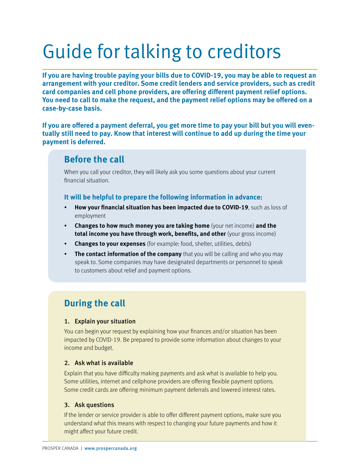## Guide for talking to creditors

**If you are having trouble paying your bills due to COVID-19, you may be able to request an arrangement with your creditor. Some credit lenders and service providers, such as credit card companies and cell phone providers, are offering different payment relief options. You need to call to make the request, and the payment relief options may be offered on a case-by-case basis.**

**If you are offered a payment deferral, you get more time to pay your bill but you will eventually still need to pay. Know that interest will continue to add up during the time your payment is deferred.**

### **Before the call**

When you call your creditor, they will likely ask you some questions about your current financial situation.

#### **It will be helpful to prepare the following information in advance:**

- **How your financial situation has been impacted due to COVID-19**, such as loss of employment
- **Changes to how much money you are taking home** (your net income) **and the total income you have through work, benefits, and other** (your gross income)
- **Changes to your expenses** (for example: food, shelter, utilities, debts)
- **The contact information of the company** that you will be calling and who you may speak to. Some companies may have designated departments or personnel to speak to customers about relief and payment options.

## **During the call**

#### 1. Explain your situation

You can begin your request by explaining how your finances and/or situation has been impacted by COVID-19. Be prepared to provide some information about changes to your income and budget.

#### 2. Ask what is available

Explain that you have difficulty making payments and ask what is available to help you. Some utilities, internet and cellphone providers are offering flexible payment options. Some credit cards are offering minimum payment deferrals and lowered interest rates.

#### 3. Ask questions

If the lender or service provider is able to offer different payment options, make sure you understand what this means with respect to changing your future payments and how it might affect your future credit.